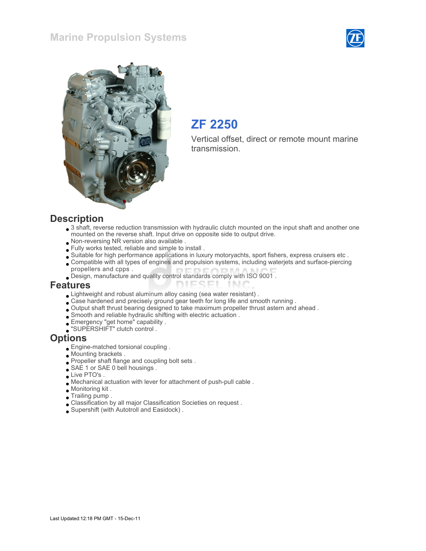## Marine Propulsion Systems





## ZF 2250

Vertical offset, direct or remote mount marine transmission.

#### **Description**

- 3 shaft, reverse reduction transmission with hydraulic clutch mounted on the input shaft and another one mounted on the reverse shaft. Input drive on opposite side to output drive.
- Non-reversing NR version also available .
- Fully works tested, reliable and simple to install .
- Suitable for high performance applications in luxury motoryachts, sport fishers, express cruisers etc .
- Compatible with all types of engines and propulsion systems, including waterjets and surface-piercing propellers and cpps .

1 N.I

Design, manufacture and quality control standards comply with ISO 9001 .

#### Features

- Lightweight and robust aluminum alloy casing (sea water resistant) .
- Case hardened and precisely ground gear teeth for long life and smooth running .
- Output shaft thrust bearing designed to take maximum propeller thrust astern and ahead .

**DIESEI** 

- $\Box$  Smooth and reliable hydraulic shifting with electric actuation .
- Emergency "get home" capability .
- "SUPERSHIFT" clutch control .

#### **Options**

- Engine-matched torsional coupling .
- Mounting brackets .
- Propeller shaft flange and coupling bolt sets .
- SAE 1 or SAE 0 bell housings.
- Live PTO's.
- Mechanical actuation with lever for attachment of push-pull cable .
- Monitoring kit .
- Trailing pump .
- Classification by all major Classification Societies on request .
- Supershift (with Autotroll and Easidock) .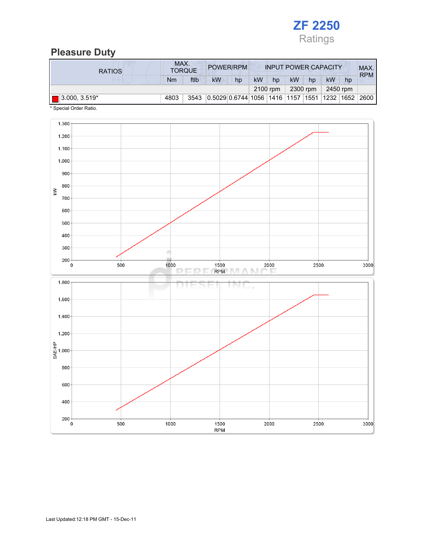

## Pleasure Duty

| <b>RATIOS</b>        | MAX. | <b>TORQUE</b> | POWER/RPM                                               |    |           |          |    |          | <b>INPUT POWER CAPACITY</b> |    | MAX.<br><b>RPM</b> |
|----------------------|------|---------------|---------------------------------------------------------|----|-----------|----------|----|----------|-----------------------------|----|--------------------|
|                      | Nm   | ftlb          | <b>kW</b>                                               | hp | <b>kW</b> | hp       | kW | hp       | kW                          | hp |                    |
|                      |      |               |                                                         |    |           | 2100 rpm |    | 2300 rpm | 2450 rpm                    |    |                    |
| $\Box$ 3.000, 3.519* | 4803 | 3543          | 0.5029 0.6744   1056   1416   1157   1551   1232   1652 |    |           |          |    |          |                             |    | 2600               |

\* Special Order Ratio.

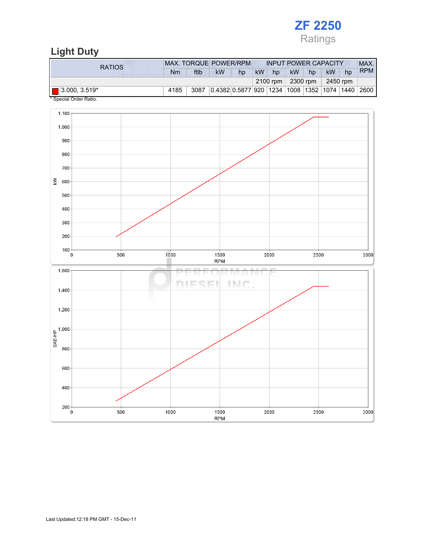

# Light Duty

| <b>RATIOS</b>        | MAX. TORQUE POWER/RPM |      |           |                                                 |    | <b>INPUT POWER CAPACITY</b> |           |          |           |    | MAX.       |
|----------------------|-----------------------|------|-----------|-------------------------------------------------|----|-----------------------------|-----------|----------|-----------|----|------------|
|                      | Nm                    | ftlb | <b>kW</b> | hp                                              | kW | hp                          | <b>kW</b> | hp       | <b>kW</b> | hp | <b>RPM</b> |
|                      |                       |      |           |                                                 |    | 2100 rpm $\vert$            |           | 2300 rpm | 2450 rpm  |    |            |
| $\Box$ 3.000, 3.519* | 4185                  | 3087 |           | 0.4382 0.5877 920  1234  1008  1352  1074  1440 |    |                             |           |          |           |    | 2600       |

Special Order Ratio.

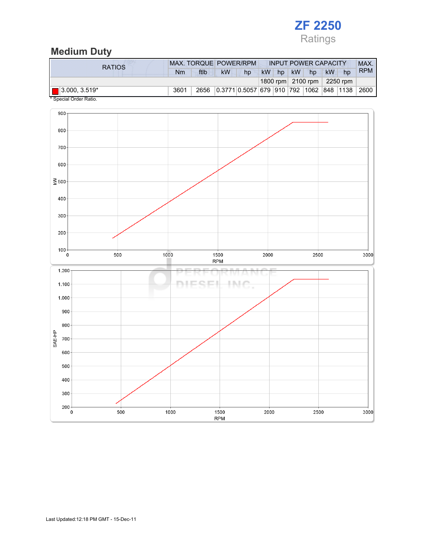

## Medium Duty

| <b>RATIOS</b>        |      | MAX. TORQUE POWER/RPM |    |                                         |           |       | <b>INPUT POWER CAPACITY</b>                |    |    | MAX.       |
|----------------------|------|-----------------------|----|-----------------------------------------|-----------|-------|--------------------------------------------|----|----|------------|
|                      | Nm   | ftlb                  | kW | hp                                      | <b>kW</b> | hp kW | hp                                         | kW | hp | <b>RPM</b> |
|                      |      |                       |    |                                         |           |       | 1800 rpm $\vert$ 2100 rpm $\vert$ 2250 rpm |    |    |            |
| $\Box$ 3.000, 3.519* | 3601 | 2656                  |    | 0.3771 0.5057 679 910 792 1062 848 1138 |           |       |                                            |    |    | 2600       |



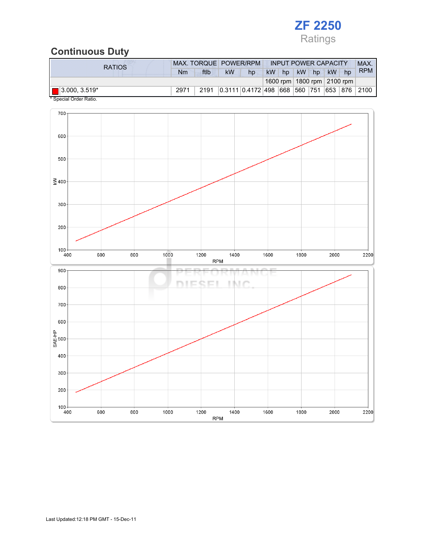

## Continuous Duty

| <b>RATIOS</b>        |      |      |           | MAX. TORQUE POWER/RPM |           |    | <b>INPUT POWER CAPACITY</b> |    |           |                                | MAX.                         |
|----------------------|------|------|-----------|-----------------------|-----------|----|-----------------------------|----|-----------|--------------------------------|------------------------------|
|                      | Nm   | ftlb | <b>kW</b> | hp                    | <b>kW</b> | hp | <b>kW</b>                   | hp | <b>kW</b> | hp                             | <b>RPM</b>                   |
|                      |      |      |           |                       |           |    |                             |    |           | 1600 rpm   1800 rpm   2100 rpm |                              |
| $\Box$ 3.000, 3.519* | 2971 | 2191 |           | 0.3111 0.4172 498 668 |           |    |                             |    |           |                                | 560   751   653   876   2100 |



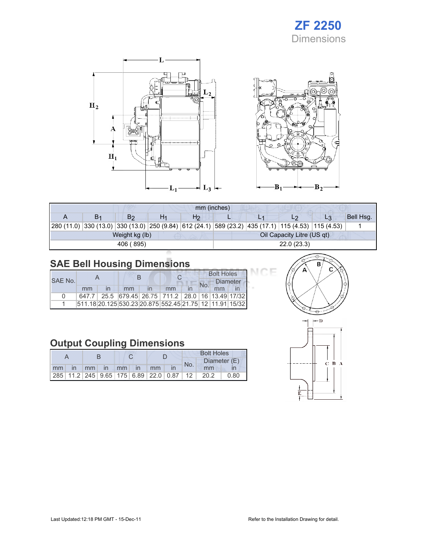





ICE

|  |                |  | mm (inches)    |            |  |                            |                                                                                                            |           |  |  |
|--|----------------|--|----------------|------------|--|----------------------------|------------------------------------------------------------------------------------------------------------|-----------|--|--|
|  | Βs             |  | H <sub>2</sub> |            |  |                            | L3                                                                                                         | Bell Hsq. |  |  |
|  |                |  |                |            |  |                            | 280 (11.0)  330 (13.0)  330 (13.0)  250 (9.84)  612 (24.1)  589 (23.2)  435 (17.1)  115 (4.53)  115 (4.53) |           |  |  |
|  | Weight kg (lb) |  |                |            |  | Oil Capacity Litre (US qt) |                                                                                                            |           |  |  |
|  | 406 (895)      |  |                | 22.0(23.3) |  |                            |                                                                                                            |           |  |  |

# SAE Bell Housing Dimensions

|         |    |  |    |  |                                                         |  | <b>Bolt Holes</b> |                 |  |  |
|---------|----|--|----|--|---------------------------------------------------------|--|-------------------|-----------------|--|--|
| SAE No. |    |  |    |  |                                                         |  |                   | <b>Diameter</b> |  |  |
|         | mm |  | mm |  | mm                                                      |  |                   |                 |  |  |
| n       |    |  |    |  | 647.7 25.5 679.45 26.75 711.2 28.0 16 13.49 17/32       |  |                   |                 |  |  |
|         |    |  |    |  | 511.18 20.125 530.23 20.875 552.45 21.75 12 11.91 15/32 |  |                   |                 |  |  |

# Output Coupling Dimensions

|    |    |              |    |  |    |                                                         | <b>Bolt Holes</b> |      |              |  |  |
|----|----|--------------|----|--|----|---------------------------------------------------------|-------------------|------|--------------|--|--|
|    |    |              |    |  |    |                                                         | No.               |      | Diameter (E) |  |  |
| mm | mm | $\mathsf{I}$ | mm |  | mm |                                                         |                   | mm   |              |  |  |
|    |    |              |    |  |    | 285   11.2   245   9.65   175   6.89   22.0   0.87   12 |                   | 20.2 | ባ.80         |  |  |